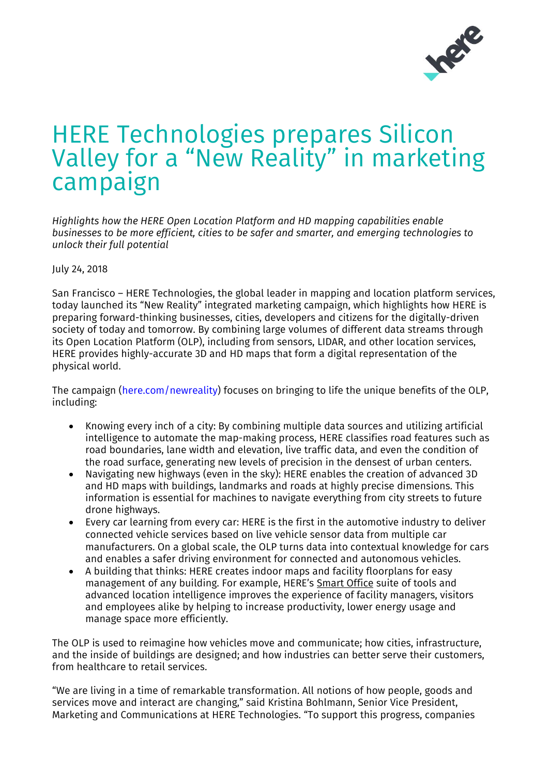

## HERE Technologies prepares Silicon Valley for a "New Reality" in marketing campaign

*Highlights how the HERE Open Location Platform and HD mapping capabilities enable businesses to be more efficient, cities to be safer and smarter, and emerging technologies to unlock their full potential*

July 24, 2018

San Francisco – HERE Technologies, the global leader in mapping and location platform services, today launched its "New Reality" integrated marketing campaign, which highlights how HERE is preparing forward-thinking businesses, cities, developers and citizens for the digitally-driven society of today and tomorrow. By combining large volumes of different data streams through its Open Location Platform (OLP), including from sensors, LIDAR, and other location services, HERE provides highly-accurate 3D and HD maps that form a digital representation of the physical world.

The campaign [\(here.com/newreality\)](https://www.here.com/en/vision/newreality) focuses on bringing to life the unique benefits of the OLP, including:

- Knowing every inch of a city: By combining multiple data sources and utilizing artificial intelligence to automate the map-making process, HERE classifies road features such as road boundaries, lane width and elevation, live traffic data, and even the condition of the road surface, generating new levels of precision in the densest of urban centers.
- Navigating new highways (even in the sky): HERE enables the creation of advanced 3D and HD maps with buildings, landmarks and roads at highly precise dimensions. This information is essential for machines to navigate everything from city streets to future drone highways.
- Every car learning from every car: HERE is the first in the automotive industry to deliver connected vehicle services based on live vehicle sensor data from multiple car manufacturers. On a global scale, the OLP turns data into contextual knowledge for cars and enables a safer driving environment for connected and autonomous vehicles.
- A building that thinks: HERE creates indoor maps and facility floorplans for easy management of any building. For example, HERE's [Smart](https://360.here.com/bringing-location-technology-to-the-workplace.-call-for-early-adopters?hs_preview=beXJkayV-5530862333) Office suite of tools and advanced location intelligence improves the experience of facility managers, visitors and employees alike by helping to increase productivity, lower energy usage and manage space more efficiently.

The OLP is used to reimagine how vehicles move and communicate; how cities, infrastructure, and the inside of buildings are designed; and how industries can better serve their customers, from healthcare to retail services.

"We are living in a time of remarkable transformation. All notions of how people, goods and services move and interact are changing," said Kristina Bohlmann, Senior Vice President, Marketing and Communications at HERE Technologies. "To support this progress, companies